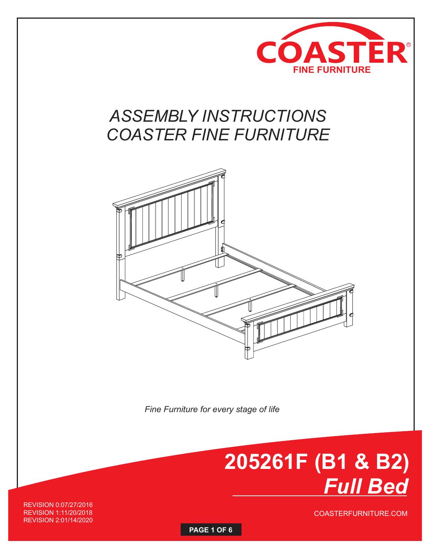

## **COASTER FINE FURNITURE** *ASSEMBLY INSTRUCTIONS COASTER FINE FURNITURE*



*Fine Furniture for every stage of life* 

# **205261F (B1 & B2)**  *Full Bed*

COASTERFURNITURE.COM

REVISION 0:07/27/2016 REVISION 1:11/20/2018 REVISION 2:01/14/2020

**PAGE 1 OF 6**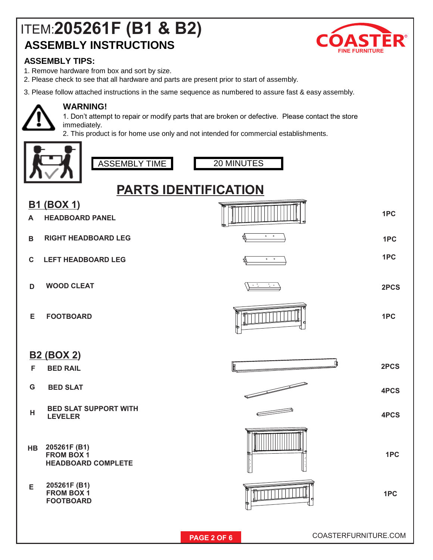### ITEM: **205261F (B1 & B2) ASSEMBLY INSTRUCTIONS**



#### **ASSEMBLY TIPS:**

- 1. Remove hardware from box and sort by size.
- 2. Please check to see that all hardware and parts are present prior to start of assembly.
- 3. Please follow attached instructions in the same sequence as numbered to assure fast & easy assembly.



### **WARNING!**

1. Don't attempt to repair or modify parts that are broken or defective. Please contact the store immediately.

2. This product is for home use only and not intended for commercial establishments.





20 MINUTES

### **PARTS IDENTIFICATION**

| <b>B1</b>    | (BOX 1)                                                        |                              |      |
|--------------|----------------------------------------------------------------|------------------------------|------|
| A            | <b>HEADBOARD PANEL</b>                                         |                              | 1PC  |
| $\mathbf B$  | <b>RIGHT HEADBOARD LEG</b>                                     | $\bullet$ $\qquad$ $\bullet$ | 1PC  |
| $\mathbf{C}$ | <b>LEFT HEADBOARD LEG</b>                                      | $\bullet$ $\qquad$ $\bullet$ | 1PC  |
| D            | <b>WOOD CLEAT</b>                                              |                              | 2PCS |
| Е            | <b>FOOTBOARD</b>                                               |                              | 1PC  |
|              | <b>B2 (BOX 2)</b>                                              |                              | 2PCS |
| F            | <b>BED RAIL</b>                                                |                              |      |
| G            | <b>BED SLAT</b>                                                | F                            | 4PCS |
| н            | <b>BED SLAT SUPPORT WITH</b><br><b>LEVELER</b>                 |                              | 4PCS |
| <b>HB</b>    | 205261F (B1)<br><b>FROM BOX 1</b><br><b>HEADBOARD COMPLETE</b> |                              | 1PC  |
| Е            | 205261F (B1)<br><b>FROM BOX 1</b><br><b>FOOTBOARD</b>          |                              | 1PC  |
|              |                                                                |                              |      |

**PAGE 2 OF 6 COASTERFURNITURE.COM**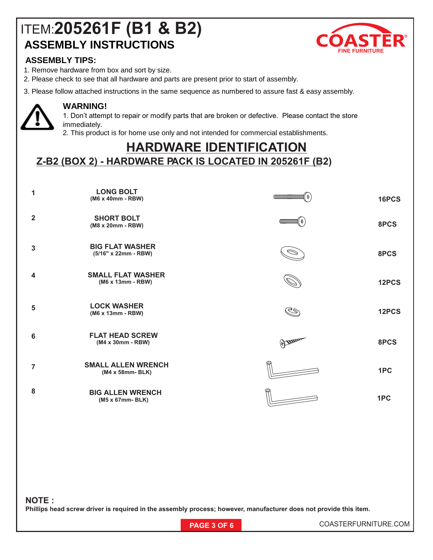### **ASSEMBLY INSTRUCTIONS** ITEM: **205261F (B1 & B2)**



#### **ASSEMBLY TIPS:**

- 1. Remove hardware from box and sort by size.
- 2. Please check to see that all hardware and parts are present prior to start of assembly.
- 3. Please follow attached instructions in the same sequence as numbered to assure fast & easy assembly.



#### **WARNING!**

1. Don't attempt to repair or modify parts that are broken or defective. Please contact the store immediately.

2. This product is for home use only and not intended for commercial establishments.

### **HARDWARE IDENTIFICATION**

**Z-B2 (BOX 2) - HARDWARE PACK IS LOCATED IN 205261F (B2)** 

| 1                       | <b>LONG BOLT</b><br>(M6 x 40mm - RBW)          | $\left  \frac{1}{2} \right  \left  \frac{1}{2} \right  \left  \frac{1}{2} \right  \left  \frac{1}{2} \right  \left  \frac{1}{2} \right  \left  \frac{1}{2} \right  \left  \frac{1}{2} \right  \left  \frac{1}{2} \right  \left  \frac{1}{2} \right  \left  \frac{1}{2} \right  \left  \frac{1}{2} \right  \left  \frac{1}{2} \right  \left  \frac{1}{2} \right  \left  \frac{1}{2} \right  \left  \frac{1}{2} \right  \left  \frac{1}{2} \right  \left  \frac{1}{2} \right$ | 16PCS |
|-------------------------|------------------------------------------------|-----------------------------------------------------------------------------------------------------------------------------------------------------------------------------------------------------------------------------------------------------------------------------------------------------------------------------------------------------------------------------------------------------------------------------------------------------------------------------|-------|
| $\overline{2}$          | <b>SHORT BOLT</b><br>(M8 x 20mm - RBW)         | $\frac{1}{2}$ ( $\frac{1}{2}$ ) $\frac{1}{2}$ ( $\frac{1}{2}$ ) $\frac{1}{2}$ ( $\frac{1}{2}$ ) $\frac{1}{2}$ ( $\frac{1}{2}$ ) $\frac{1}{2}$                                                                                                                                                                                                                                                                                                                               | 8PCS  |
| 3                       | <b>BIG FLAT WASHER</b><br>(5/16" x 22mm - RBW) |                                                                                                                                                                                                                                                                                                                                                                                                                                                                             | 8PCS  |
| $\overline{\mathbf{4}}$ | <b>SMALL FLAT WASHER</b><br>(M6 x 13mm - RBW)  |                                                                                                                                                                                                                                                                                                                                                                                                                                                                             | 12PCS |
| 5                       | <b>LOCK WASHER</b><br>(M6 x 13mm - RBW)        | G                                                                                                                                                                                                                                                                                                                                                                                                                                                                           | 12PCS |
| $6\phantom{1}6$         | <b>FLAT HEAD SCREW</b><br>(M4 x 30mm - RBW)    | H                                                                                                                                                                                                                                                                                                                                                                                                                                                                           | 8PCS  |
| $\overline{7}$          | <b>SMALL ALLEN WRENCH</b><br>(M4 x 58mm-BLK)   |                                                                                                                                                                                                                                                                                                                                                                                                                                                                             | 1PC   |
| 8                       | <b>BIG ALLEN WRENCH</b><br>(M5 x 67mm-BLK)     |                                                                                                                                                                                                                                                                                                                                                                                                                                                                             | 1PC   |
|                         |                                                |                                                                                                                                                                                                                                                                                                                                                                                                                                                                             |       |
|                         |                                                |                                                                                                                                                                                                                                                                                                                                                                                                                                                                             |       |
|                         |                                                |                                                                                                                                                                                                                                                                                                                                                                                                                                                                             |       |

#### **NOTE :**

**Phillips head screw driver is required in the assembly process; however, manufacturer does not provide this item.** 

**PAGE 3 OF 6 COASTERFURNITURE.COM**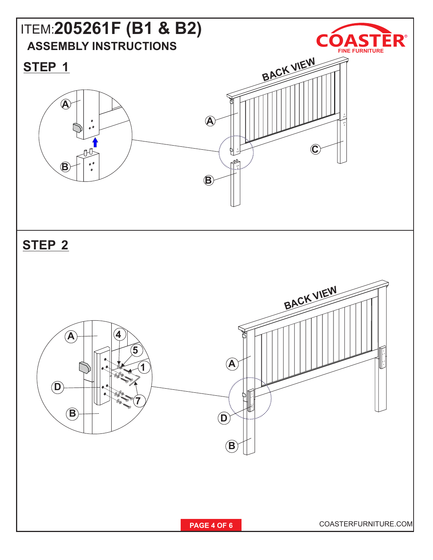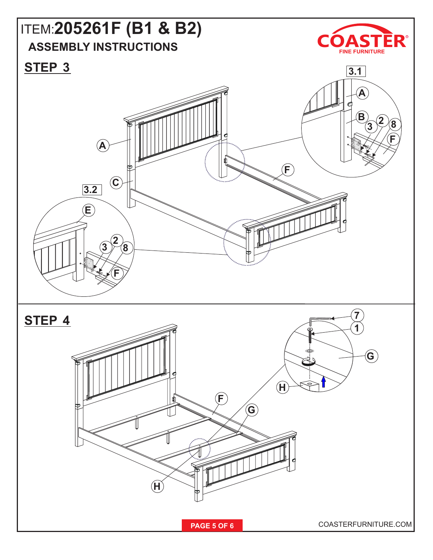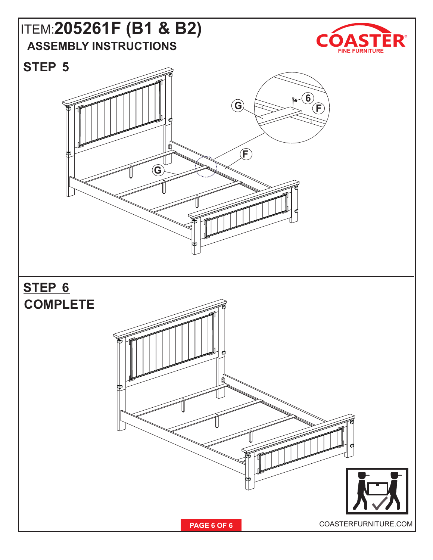